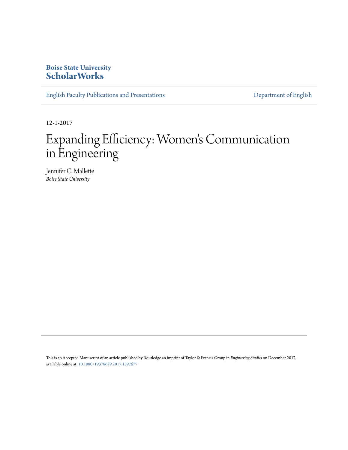# **Boise State University [ScholarWorks](https://scholarworks.boisestate.edu)**

[English Faculty Publications and Presentations](https://scholarworks.boisestate.edu/english_facpubs) **[Department of English](https://scholarworks.boisestate.edu/english)** 

12-1-2017

# Expanding Efficiency: Women 's Communication in Engineering

Jennifer C. Mallette *Boise State University*

This is an Accepted Manuscript of an article published by Routledge an imprint of Taylor & Francis Group in *Engineering Studies* on December 2017, available online at: [10.1080/19378629.2017.1397677](https://doi.org/10.1080/19378629.2017.1397677)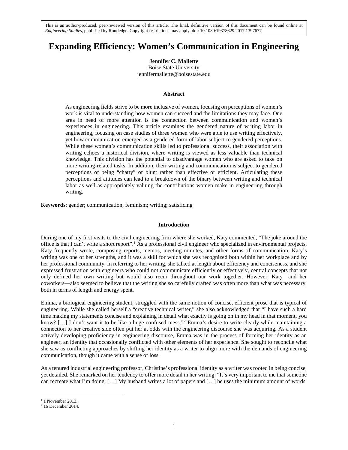# **Expanding Efficiency: Women's Communication in Engineering**

**Jennifer C. Mallette** Boise State University jennifermallette@boisestate.edu

# **Abstract**

As engineering fields strive to be more inclusive of women, focusing on perceptions of women's work is vital to understanding how women can succeed and the limitations they may face. One area in need of more attention is the connection between communication and women's experiences in engineering. This article examines the gendered nature of writing labor in engineering, focusing on case studies of three women who were able to use writing effectively, yet how communication emerged as a gendered form of labor subject to gendered perceptions. While these women's communication skills led to professional success, their association with writing echoes a historical division, where writing is viewed as less valuable than technical knowledge. This division has the potential to disadvantage women who are asked to take on more writing-related tasks. In addition, their writing and communication is subject to gendered perceptions of being "chatty" or blunt rather than effective or efficient. Articulating these perceptions and attitudes can lead to a breakdown of the binary between writing and technical labor as well as appropriately valuing the contributions women make in engineering through writing.

**Keywords**: gender; communication; feminism; writing; satisficing

#### **Introduction**

During one of my first visits to the civil engineering firm where she worked, Katy commented, "The joke around the office is that I can't write a short report".[1](#page-1-0) As a professional civil engineer who specialized in environmental projects, Katy frequently wrote, composing reports, memos, meeting minutes, and other forms of communication. Katy's writing was one of her strengths, and it was a skill for which she was recognized both within her workplace and by her professional community. In referring to her writing, she talked at length about efficiency and conciseness, and she expressed frustration with engineers who could not communicate efficiently or effectively, central concepts that not only defined her own writing but would also recur throughout our work together. However, Katy—and her coworkers—also seemed to believe that the writing she so carefully crafted was often more than what was necessary, both in terms of length and energy spent.

Emma, a biological engineering student, struggled with the same notion of concise, efficient prose that is typical of engineering. While she called herself a "creative technical writer," she also acknowledged that "I have such a hard time making my statements concise and explaining in detail what exactly is going on in my head in that moment, you know? [...] I don't want it to be like a huge confused mess."<sup>[2](#page-1-1)</sup> Emma's desire to write clearly while maintaining a connection to her creative side often put her at odds with the engineering discourse she was acquiring. As a student actively developing proficiency in engineering discourse, Emma was in the process of forming her identity as an engineer, an identity that occasionally conflicted with other elements of her experience. She sought to reconcile what she saw as conflicting approaches by shifting her identity as a writer to align more with the demands of engineering communication, though it came with a sense of loss.

As a tenured industrial engineering professor, Christine's professional identity as a writer was rooted in being concise, yet detailed. She remarked on her tendency to offer more detail in her writing: "It's very important to me that someone can recreate what I'm doing. […] My husband writes a lot of papers and […] he uses the minimum amount of words,

 $1$  1 November 2013.

<span id="page-1-1"></span><span id="page-1-0"></span><sup>2</sup> 16 December 2014.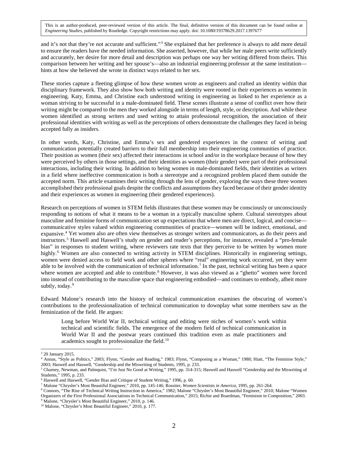and it's not that they're not accurate and sufficient."<sup>[3](#page-2-0)</sup> She explained that her preference is always to add more detail to ensure the readers have the needed information. She asserted, however, that while her male peers write sufficiently and accurately, her desire for more detail and description was perhaps one way her writing differed from theirs. This comparison between her writing and her spouse's—also an industrial engineering professor at the same institution hints at how she believed she wrote in distinct ways related to her sex.

These stories capture a fleeting glimpse of how these women wrote as engineers and crafted an identity within that disciplinary framework. They also show how both writing and identity were rooted in their experiences as women in engineering. Katy, Emma, and Christine each understood writing in engineering as linked to her experience as a woman striving to be successful in a male-dominated field. These scenes illustrate a sense of conflict over how their writing might be compared to the men they worked alongside in terms of length, style, or description. And while these women identified as strong writers and used writing to attain professional recognition, the association of their professional identities with writing as well as the perceptions of others demonstrate the challenges they faced in being accepted fully as insiders.

In other words, Katy, Christine, and Emma's sex and gendered experiences in the context of writing and communication potentially created barriers to their full membership into their engineering communities of practice. Their position as women (their sex) affected their interactions in school and/or in the workplace because of how they were perceived by others in those settings, and their identities as women (their gender) were part of their professional interactions, including their writing. In addition to being women in male-dominated fields, their identities as writers in a field where ineffective communication is both a stereotype and a recognized problem placed them outside the accepted norm. This article examines their writing through the lens of gender, exploring the ways these three women accomplished their professional goals despite the conflicts and assumptions they faced because of their gender identity and their experiences as women in engineering (their gendered experiences).

Research on perceptions of women in STEM fields illustrates that these women may be consciously or unconsciously responding to notions of what it means to be a woman in a typically masculine sphere. Cultural stereotypes about masculine and feminine forms of communication set up expectations that where men are direct, logical, and concise communicative styles valued within engineering communities of practice—women will be indirect, emotional, and expansive.[4](#page-2-1) Yet women also are often view themselves as stronger writers and communicators, as do their peers and instructors.[5](#page-2-2) Haswell and Haswell's study on gender and reader's perceptions, for instance, revealed a "pro-female bias" in responses to student writing, where reviewers rate texts that they perceive to be written by women more highly.<sup>[6](#page-2-3)</sup> Women are also connected to writing activity in STEM disciplines. Historically in engineering settings, women were denied access to field work and other spheres where "real" engineering work occurred, yet they were able to be involved with the communication of technical information.<sup>[7](#page-2-4)</sup> In the past, technical writing has been a space where women are accepted and able to contribute.<sup>[8](#page-2-5)</sup> However, it was also viewed as a "ghetto" women were forced into instead of contributing to the masculine space that engineering embodied—and continues to embody, albeit more subtly, today.<sup>[9](#page-2-6)</sup>

Edward Malone's research into the history of technical communication examines the obscuring of women's contributions to the professionalization of technical communication to downplay what some members saw as the feminization of the field. He argues:

Long before World War II, technical writing and editing were niches of women's work within technical and scientific fields. The emergence of the modern field of technical communication in World War II and the postwar years continued this tradition even as male practitioners and academics sought to professionalize the field.<sup>[10](#page-2-7)</sup>

<sup>3</sup> 20 January 2015.

<span id="page-2-1"></span><span id="page-2-0"></span><sup>4</sup> Annas, "Style as Politics," 2003; Flynn, "Gender and Reading," 1983; Flynn, "Composing as a Woman," 1988; Hiatt, "The Feminine Style," 2003; Haswell and Haswell, "Gendership and the Miswriting of Students, 1995, p. 233.

<span id="page-2-2"></span><sup>5</sup> Charney, Newman, and Palmquist, "I'm Just No Good at Writing," 1995, pp. 314-315; Haswell and Haswell "Gendership and the Miswriting of Students," 1995, p. 233.

<span id="page-2-3"></span><sup>6</sup> Haswell and Haswell, "Gender Bias and Critique of Student Writing," 1996, p. 60.

<span id="page-2-4"></span><sup>7</sup> Malone "Chrysler's Most Beautiful Engineer," 2010, pp. 145-146; Rossiter, *Women Scientists in America*, 1995, pp. 261-264.

<span id="page-2-5"></span><sup>8</sup> Connors, "The Rise of Technical Writing Instruction in America," 1982; Malone "Chrysler's Most Beautiful Engineer," 2010; Malone "Women Organizers of the First Professional Associations in Technical Communication," 2015; Richie and Boardman, "Feminism in Composition," 2003. 9 Malone, "Chrysler's Most Beautiful Engineer," 2010, p. 146.

<span id="page-2-7"></span><span id="page-2-6"></span><sup>&</sup>lt;sup>10</sup> Malone, "Chrysler's Most Beautiful Engineer," 2010, p. 177.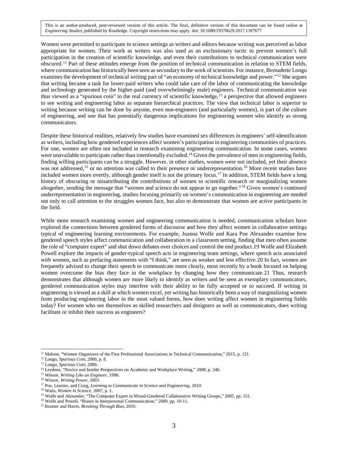Women were permitted to participate in science settings as writers and editors because writing was perceived as labor appropriate for women. Their work as writers was also used as an exclusionary tactic to prevent women's full participation in the creation of scientific knowledge, and even their contributions to technical communication were obscured.[11](#page-3-0) Part of these attitudes emerge from the position of technical communication in relation to STEM fields, where communication has historically been seen as secondary to the work of scientists. For instance, Bernadette Longo examines the development of technical writing part of "an economy of technical knowledge and power."<sup>[12](#page-3-1)</sup> She argues that writing became a task for lower-paid writers who could take care of the labor of communicating the knowledge and technology generated by the higher-paid (and overwhelmingly male) engineers. Technical communication was thus viewed as a "spurious coin" to the real currency of scientific knowledge,<sup>[13](#page-3-2)</sup> a perspective that allowed engineers to see writing and engineering labor as separate hierarchical practices. The view that technical labor is superior to writing because writing can be done by anyone, even non-engineers (and particularly women), is part of the culture of engineering, and one that has potentially dangerous implications for engineering women who identify as strong communicators.

Despite these historical realities, relatively few studies have examined sex differences in engineers' self-identification as writers, including how gendered experiences affect women's participation in engineering communities of practices. For one, women are often not included in research examining engineering communication. In some cases, women were unavailable to participate rather than intentionally excluded.<sup>[14](#page-3-3)</sup> Given the prevalence of men in engineering fields, finding willing participants can be a struggle. However, in other studies, women were not included, yet their absence was not addressed,<sup>[15](#page-3-4)</sup> or no attention was called to their presence or underrepresentation.<sup>[16](#page-3-5)</sup> More recent studies have included women more overtly, although gender itself is not the primary focus.<sup>[17](#page-3-6)</sup> In addition, STEM fields have a long history of obscuring or misattributing the contributions of women to scientific research or marginalizing women altogether, sending the message that "women and science do not appear to go together."[18](#page-3-7) Given women's continued underrepresentation in engineering, studies focusing primarily on women's communication in engineering are needed not only to call attention to the struggles women face, but also to demonstrate that women are active participants in the field.

While more research examining women and engineering communication is needed, communication scholars have explored the connections between gendered forms of discourse and how they affect women in collaborative settings typical of engineering learning environments. For example, Joanna Wolfe and Kara Poe Alexander examine how gendered speech styles affect communication and collaboration in a classroom setting, finding that men often assume the role of "computer expert" and shut down debates over choices and control the end product.[19](#page-3-8) Wolfe and Elizabeth Powell explore the impacts of gender-typical speech acts in engineering team settings, where speech acts associated with women, such as prefacing statements with "I think," are seen as weaker and less effective.[20](#page-3-9) In fact, women are frequently advised to change their speech to communicate more clearly, most recently by a book focused on helping women overcome the bias they face in the workplace by changing how they communicate.[21](#page-3-10) Thus, research demonstrates that although women are more likely to identify as writers and be seen as exemplary communicators, gendered communication styles may interfere with their ability to be fully accepted or to succeed. If writing in engineering is viewed as a skill at which women excel, yet writing has historically been a way of marginalizing women from producing engineering labor in the most valued forms, how does writing affect women in engineering fields today? For women who see themselves as skilled researchers and designers as well as communicators, does writing facilitate or inhibit their success as engineers?

<span id="page-3-0"></span><sup>11</sup> Malone, "Women Organizers of the First Professional Associations in Technical Communication," 2015, p. 121.

<span id="page-3-1"></span><sup>12</sup> Longo, *Spurious Coin*, 2000, p. 8.

<span id="page-3-2"></span><sup>13</sup> Longo, *Spurious Coin*, 2000.

<span id="page-3-3"></span><sup>&</sup>lt;sup>14</sup> Leydens, "Novice and Insider Perspectives on Academic and Workplace Writing," 2008, p. 246.

<span id="page-3-4"></span><sup>15</sup> Winsor, *Writing Like an Engineer*, 1996.

<span id="page-3-5"></span><sup>16</sup> Winsor, *Writing Power*, 2003.

<span id="page-3-6"></span><sup>17</sup> Poe, Learner, and Craig, *Learning to Communicate in Science and Engineering*, 2010.

<span id="page-3-7"></span><sup>18</sup> Watts, *Women in Science*, 2007, p. 1.

<span id="page-3-8"></span><sup>&</sup>lt;sup>19</sup> Wolfe and Alexander, "The Computer Expert in Mixed-Gendered Collaborative Writing Groups," 2005, pp. 151.

<sup>20</sup> Wolfe and Powell, "Biases in Interpersonal Communication," 2009, pp. 10-11.

<span id="page-3-10"></span><span id="page-3-9"></span><sup>21</sup> Kramer and Harris, *Breaking Through Bias*, 2016.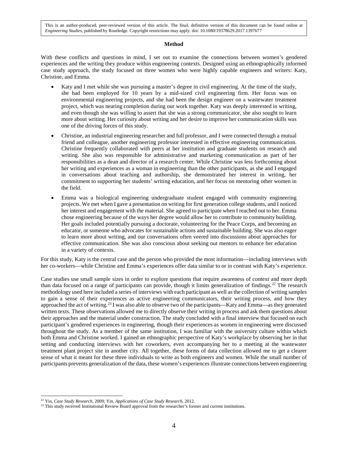#### **Method**

With these conflicts and questions in mind, I set out to examine the connections between women's gendered experiences and the writing they produce within engineering contexts. Designed using an ethnographically informed case study approach, the study focused on three women who were highly capable engineers and writers: Katy, Christine, and Emma.

- Katy and I met while she was pursuing a master's degree in civil engineering. At the time of the study, she had been employed for 10 years by a mid-sized civil engineering firm. Her focus was on environmental engineering projects, and she had been the design engineer on a wastewater treatment project, which was nearing completion during our work together. Katy was deeply interested in writing, and even though she was willing to assert that she was a strong communicator, she also sought to learn more about writing. Her curiosity about writing and her desire to improve her communication skills was one of the driving forces of this study.
- Christine, an industrial engineering researcher and full professor, and I were connected through a mutual friend and colleague, another engineering professor interested in effective engineering communication. Christine frequently collaborated with peers at her institution and graduate students on research and writing. She also was responsible for administrative and marketing communication as part of her responsibilities as a dean and director of a research center. While Christine was less forthcoming about her writing and experiences as a woman in engineering than the other participants, as she and I engaged in conversations about teaching and authorship, she demonstrated her interest in writing, her commitment to supporting her students' writing education, and her focus on mentoring other women in the field.
- Emma was a biological engineering undergraduate student engaged with community engineering projects. We met when I gave a presentation on writing for first generation college students, and I noticed her interest and engagement with the material. She agreed to participate when I reached out to her. Emma chose engineering because of the ways her degree would allow her to contribute to community building. Her goals included potentially pursuing a doctorate, volunteering for the Peace Corps, and becoming an educator, or someone who advocates for sustainable actions and sustainable building. She was also eager to learn more about writing, and our conversations often veered into discussions about approaches for effective communication. She was also conscious about seeking out mentors to enhance her education in a variety of contexts.

For this study, Katy is the central case and the person who provided the most information—including interviews with her co-workers—while Christine and Emma's experiences offer data similar to or in contrast with Katy's experience.

Case studies use small sample sizes in order to explore questions that require awareness of context and more depth than data focused on a range of participants can provide, though it limits generalization of findings.[22](#page-4-0) The research methodology used here included a series of interviews with each participant as well as the collection of writing samples to gain a sense of their experiences as active engineering communicators, their writing process, and how they approached the act of writing.[23](#page-4-1) I was also able to observe two of the participants—Katy and Emma—as they generated written texts. These observations allowed me to directly observe their writing in process and ask them questions about their approaches and the material under construction. The study concluded with a final interview that focused on each participant's gendered experiences in engineering, though their experiences as women in engineering were discussed throughout the study. As a member of the same institution, I was familiar with the university culture within which both Emma and Christine worked. I gained an ethnographic perspective of Katy's workplace by observing her in that setting and conducting interviews with her coworkers, even accompanying her to a meeting at the wastewater treatment plant project site in another city. All together, these forms of data collection allowed me to get a clearer sense of what it meant for these three individuals to write as both engineers and women. While the small number of participants prevents generalization of the data, these women's experiences illustrate connections between engineering

<sup>22</sup> Yin, *Case Study Research*, 2009; Yin, *Applications of Case Study Research*, 2012.  $\overline{a}$ 

<span id="page-4-1"></span><span id="page-4-0"></span><sup>&</sup>lt;sup>23</sup> This study received Institutional Review Board approval from the researcher's former and current institutions.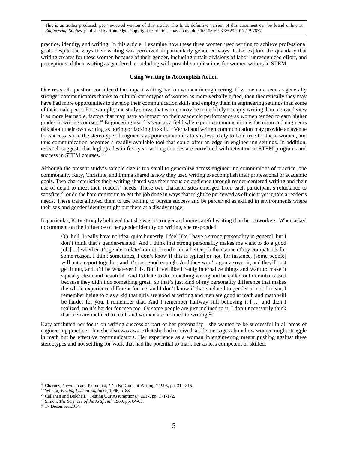practice, identity, and writing. In this article, I examine how these three women used writing to achieve professional goals despite the ways their writing was perceived in particularly gendered ways. I also explore the quandary that writing creates for these women because of their gender, including unfair divisions of labor, unrecognized effort, and perceptions of their writing as gendered, concluding with possible implications for women writers in STEM.

## **Using Writing to Accomplish Action**

One research question considered the impact writing had on women in engineering. If women are seen as generally stronger communicators thanks to cultural stereotypes of women as more verbally gifted, then theoretically they may have had more opportunities to develop their communication skills and employ them in engineering settings than some of their male peers. For example, one study shows that women may be more likely to enjoy writing than men and view it as more learnable, factors that may have an impact on their academic performance as women tended to earn higher grades in writing courses.[24](#page-5-0) Engineering itself is seen as a field where poor communication is the norm and engineers talk about their own writing as boring or lacking in skill.<sup>[25](#page-5-1)</sup> Verbal and written communication may provide an avenue for success, since the stereotype of engineers as poor communicators is less likely to hold true for these women, and thus communication becomes a readily available tool that could offer an edge in engineering settings. In addition, research suggests that high grades in first year writing courses are correlated with retention in STEM programs and success in STEM courses.<sup>[26](#page-5-2)</sup>

Although the present study's sample size is too small to generalize across engineering communities of practice, one commonality Katy, Christine, and Emma shared is how they used writing to accomplish their professional or academic goals. Two characteristics their writing shared was their focus on audience through reader-centered writing and their use of detail to meet their readers' needs. These two characteristics emerged from each participant's reluctance to satisfice,<sup>[27](#page-5-3)</sup> or do the bare minimum to get the job done in ways that might be perceived as efficient yet ignore a reader's needs. These traits allowed them to use writing to pursue success and be perceived as skilled in environments where their sex and gender identity might put them at a disadvantage.

In particular, Katy strongly believed that she was a stronger and more careful writing than her coworkers. When asked to comment on the influence of her gender identity on writing, she responded:

Oh, hell. I really have no idea, quite honestly. I feel like I have a strong personality in general, but I don't think that's gender-related. And I think that strong personality makes me want to do a good job […] whether it's gender-related or not, I tend to do a better job than some of my compatriots for some reason. I think sometimes, I don't know if this is typical or not, for instance, [some people] will put a report together, and it's just good enough. And they won't agonize over it, and they'll just get it out, and it'll be whatever it is. But I feel like I really internalize things and want to make it squeaky clean and beautiful. And I'd hate to do something wrong and be called out or embarrassed because they didn't do something great. So that's just kind of my personality difference that makes the whole experience different for me, and I don't know if that's related to gender or not. I mean, I remember being told as a kid that girls are good at writing and men are good at math and math will be harder for you. I remember that. And I remember halfway still believing it […] and then I realized, no it's harder for men too. Or some people are just inclined to it. I don't necessarily think that men are inclined to math and women are inclined to writing. $28$ 

Katy attributed her focus on writing success as part of her personality—she wanted to be successful in all areas of engineering practice—but she also was aware that she had received subtle messages about how women might struggle in math but be effective communicators. Her experience as a woman in engineering meant pushing against these stereotypes and not settling for work that had the potential to mark her as less competent or skilled.

<sup>&</sup>lt;sup>24</sup> Charney, Newman and Palmquist, "I'm No Good at Writing," 1995, pp. 314-315.

<span id="page-5-1"></span><span id="page-5-0"></span><sup>&</sup>lt;sup>25</sup> Winsor, *Writing Like an Engineer*, 1996, p. 88.<br><sup>26</sup> Callahan and Belcheir, "Testing Our Assumptions," 2017, pp. 171-172.

<span id="page-5-3"></span><span id="page-5-2"></span><sup>&</sup>lt;sup>27</sup> Simon, The Sciences of the Artificial, 1969, pp. 64-65.

<span id="page-5-4"></span><sup>28</sup> 17 December 2014.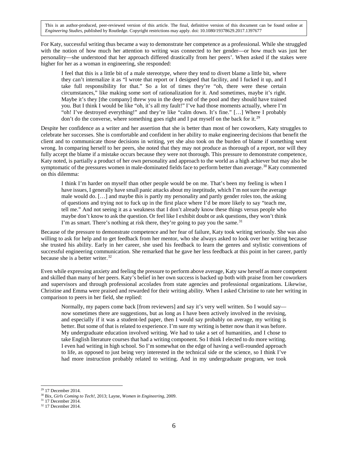For Katy, successful writing thus became a way to demonstrate her competence as a professional. While she struggled with the notion of how much her attention to writing was connected to her gender—or how much was just her personality—she understood that her approach differed drastically from her peers'. When asked if the stakes were higher for her as a woman in engineering, she responded:

I feel that this is a little bit of a male stereotype, where they tend to divert blame a little bit, where they can't internalize it as "I wrote that report or I designed that facility, and I fucked it up, and I take full responsibility for that." So a lot of times they're "oh, there were these certain circumstances," like making some sort of rationalization for it. And sometimes, maybe it's right. Maybe it's they [the company] threw you in the deep end of the pool and they should have trained you. But I think I would be like "oh, it's all my fault!" I've had those moments actually, where I'm "oh! I've destroyed everything!" and they're like "calm down. It's fine." […] Where I probably don't do the converse, where something goes right and I pat myself on the back for it.<sup>[29](#page-6-0)</sup>

Despite her confidence as a writer and her assertion that she is better than most of her coworkers, Katy struggles to celebrate her successes. She is comfortable and confident in her ability to make engineering decisions that benefit the client and to communicate those decisions in writing, yet she also took on the burden of blame if something went wrong. In comparing herself to her peers, she noted that they may not produce as thorough of a report, nor will they fully accept the blame if a mistake occurs because they were not thorough. This pressure to demonstrate competence, Katy noted, is partially a product of her own personality and approach to the world as a high achiever but may also be symptomatic of the pressures women in male-dominated fields face to perform better than average.<sup>[30](#page-6-1)</sup> Katy commented on this dilemma:

I think I'm harder on myself than other people would be on me. That's been my feeling is when I have issues, I generally have small panic attacks about my ineptitude, which I'm not sure the average male would do. […] and maybe this is partly my personality and partly gender roles too, the asking of questions and trying not to fuck up in the first place where I'd be more likely to say "teach me, tell me." And not seeing it as a weakness that I don't already know these things versus people who maybe don't know to ask the question. Or feel like I exhibit doubt or ask questions, they won't think I'm as smart. There's nothing at risk there, they're going to pay you the same.<sup>[31](#page-6-2)</sup>

Because of the pressure to demonstrate competence and her fear of failure, Katy took writing seriously. She was also willing to ask for help and to get feedback from her mentor, who she always asked to look over her writing because she trusted his ability. Early in her career, she used his feedback to learn the genres and stylistic conventions of successful engineering communication. She remarked that he gave her less feedback at this point in her career, partly because she is a better writer.<sup>[32](#page-6-3)</sup>

Even while expressing anxiety and feeling the pressure to perform above average, Katy saw herself as more competent and skilled than many of her peers. Katy's belief in her own success is backed up both with praise from her coworkers and supervisors and through professional accolades from state agencies and professional organizations. Likewise, Christine and Emma were praised and rewarded for their writing ability. When I asked Christine to rate her writing in comparison to peers in her field, she replied:

Normally, my papers come back [from reviewers] and say it's very well written. So I would say now sometimes there are suggestions, but as long as I have been actively involved in the revising, and especially if it was a student-led paper, then I would say probably on average, my writing is better. But some of that is related to experience. I'm sure my writing is better now than it was before. My undergraduate education involved writing. We had to take a set of humanities, and I chose to take English literature courses that had a writing component. So I think I elected to do more writing. I even had writing in high school. So I'm somewhat on the edge of having a well-rounded approach to life, as opposed to just being very interested in the technical side or the science, so I think I've had more instruction probably related to writing. And in my undergraduate program, we took

<span id="page-6-0"></span><sup>29</sup> 17 December 2014.  $\overline{a}$ 

<span id="page-6-1"></span><sup>30</sup> Bix, *Girls Coming to Tech!*, 2013; Layne, *Women in Engineering*, 2009.

<sup>31</sup> 17 December 2014.

<span id="page-6-3"></span><span id="page-6-2"></span><sup>32</sup> 17 December 2014.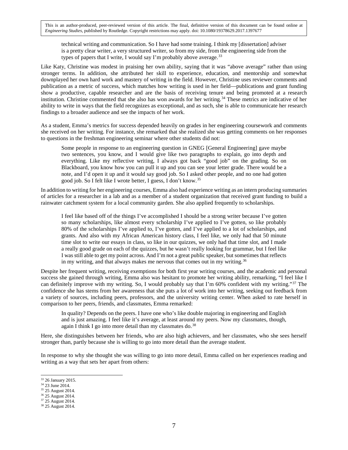technical writing and communication. So I have had some training. I think my [dissertation] adviser is a pretty clear writer, a very structured writer, so from my side, from the engineering side from the types of papers that I write, I would say I'm probably above average.  $33$ 

Like Katy, Christine was modest in praising her own ability, saying that it was "above average" rather than using stronger terms. In addition, she attributed her skill to experience, education, and mentorship and somewhat downplayed her own hard work and mastery of writing in the field. However, Christine uses reviewer comments and publication as a metric of success, which matches how writing is used in her field—publications and grant funding show a productive, capable researcher and are the basis of receiving tenure and being promoted at a research institution. Christine commented that she also has won awards for her writing.<sup>[34](#page-7-1)</sup> These metrics are indicative of her ability to write in ways that the field recognizes as exceptional, and as such, she is able to communicate her research findings to a broader audience and see the impacts of her work.

As a student, Emma's metrics for success depended heavily on grades in her engineering coursework and comments she received on her writing. For instance, she remarked that she realized she was getting comments on her responses to questions in the freshman engineering seminar where other students did not:

Some people in response to an engineering question in GNEG [General Engineering] gave maybe two sentences, you know, and I would give like two paragraphs to explain, go into depth and everything. Like my reflective writing, I always got back "good job" on the grading. So on Blackboard, you know how you can pull it up and you can see your letter grade. There would be a note, and I'd open it up and it would say good job. So I asked other people, and no one had gotten good job. So I felt like I wrote better, I guess, I don't know.[35](#page-7-2)

In addition to writing for her engineering courses, Emma also had experience writing as an intern producing summaries of articles for a researcher in a lab and as a member of a student organization that received grant funding to build a rainwater catchment system for a local community garden. She also applied frequently to scholarships.

I feel like based off of the things I've accomplished I should be a strong writer because I've gotten so many scholarships, like almost every scholarship I've applied to I've gotten, so like probably 80% of the scholarships I've applied to, I've gotten, and I've applied to a lot of scholarships, and grants. And also with my African American history class, I feel like, we only had that 50 minute time slot to write our essays in class, so like in our quizzes, we only had that time slot, and I made a really good grade on each of the quizzes, but he wasn't really looking for grammar, but I feel like I was still able to get my point across. And I'm not a great public speaker, but sometimes that reflects in my writing, and that always makes me nervous that comes out in my writing.<sup>[36](#page-7-3)</sup>

Despite her frequent writing, receiving exemptions for both first year writing courses, and the academic and personal success she gained through writing, Emma also was hesitant to promote her writing ability, remarking, "I feel like I can definitely improve with my writing. So, I would probably say that I'm 60% confident with my writing."[37](#page-7-4) The confidence she has stems from her awareness that she puts a lot of work into her writing, seeking out feedback from a variety of sources, including peers, professors, and the university writing center. When asked to rate herself in comparison to her peers, friends, and classmates, Emma remarked:

In quality? Depends on the peers. I have one who's like double majoring in engineering and English and is just amazing. I feel like it's average, at least around my peers. Now my classmates, though, again I think I go into more detail than my classmates do.<sup>[38](#page-7-5)</sup>

Here, she distinguishes between her friends, who are also high achievers, and her classmates, who she sees herself stronger than, partly because she is willing to go into more detail than the average student.

In response to why she thought she was willing to go into more detail, Emma called on her experiences reading and writing as a way that sets her apart from others:

<span id="page-7-0"></span><sup>33</sup> 26 January 2015.

<span id="page-7-1"></span><sup>&</sup>lt;sup>34</sup> 23 June 2014.

<span id="page-7-2"></span><sup>&</sup>lt;sup>35</sup> 25 August 2014.

<span id="page-7-3"></span><sup>36</sup> 25 August 2014.

<sup>&</sup>lt;sup>37</sup> 25 August 2014.

<span id="page-7-5"></span><span id="page-7-4"></span><sup>38</sup> 25 August 2014.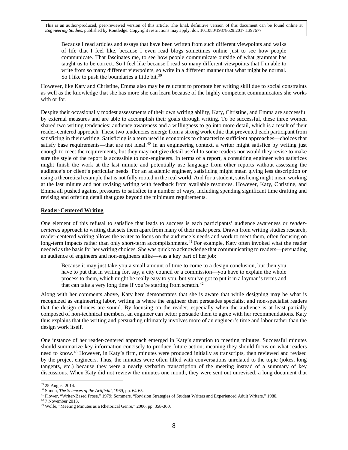Because I read articles and essays that have been written from such different viewpoints and walks of life that I feel like, because I even read blogs sometimes online just to see how people communicate. That fascinates me, to see how people communicate outside of what grammar has taught us to be correct. So I feel like because I read so many different viewpoints that I'm able to write from so many different viewpoints, so write in a different manner that what might be normal. So I like to push the boundaries a little bit.<sup>[39](#page-8-0)</sup>

However, like Katy and Christine, Emma also may be reluctant to promote her writing skill due to social constraints as well as the knowledge that she has more she can learn because of the highly competent communicators she works with or for.

Despite their occasionally modest assessments of their own writing ability, Katy, Christine, and Emma are successful by external measures and are able to accomplish their goals through writing. To be successful, these three women shared two writing tendencies: audience awareness and a willingness to go into more detail, which is a result of their reader-centered approach. These two tendencies emerge from a strong work ethic that prevented each participant from satisficing in their writing. Satisficing is a term used in economics to characterize sufficient approaches—choices that satisfy base requirements—that are not ideal.<sup>[40](#page-8-1)</sup> In an engineering context, a writer might satisfice by writing just enough to meet the requirements, but they may not give detail useful to some readers nor would they revise to make sure the style of the report is accessible to non-engineers. In terms of a report, a consulting engineer who satisfices might finish the work at the last minute and potentially use language from other reports without assessing the audience's or client's particular needs. For an academic engineer, satisficing might mean giving less description or using a theoretical example that is not fully rooted in the real world. And for a student, satisficing might mean working at the last minute and not revising writing with feedback from available resources. However, Katy, Christine, and Emma all pushed against pressures to satisfice in a number of ways, including spending significant time drafting and revising and offering detail that goes beyond the minimum requirements.

# **Reader-Centered Writing**

One element of this refusal to satisfice that leads to success is each participants' audience awareness or *readercentered* approach to writing that sets them apart from many of their male peers. Drawn from writing studies research, reader-centered writing allows the writer to focus on the audience's needs and work to meet them, often focusing on long-term impacts rather than only short-term accomplishments.<sup>[41](#page-8-2)</sup> For example, Katy often invoked what the reader needed as the basis for her writing choices. She was quick to acknowledge that communicating to readers—persuading an audience of engineers and non-engineers alike—was a key part of her job:

Because it may just take you a small amount of time to come to a design conclusion, but then you have to put that in writing for, say, a city council or a commission—you have to explain the whole process to them, which might be really easy to you, but you've got to put it in a layman's terms and that can take a very long time if you're starting from scratch. $42$ 

Along with her comments above, Katy here demonstrates that she is aware that while designing may be what is recognized as engineering labor, writing is where the engineer then persuades specialist and non-specialist readers that the design choices are sound. By focusing on the reader, especially when the audience is at least partially composed of non-technical members, an engineer can better persuade them to agree with her recommendations. Katy thus explains that the writing and persuading ultimately involves more of an engineer's time and labor rather than the design work itself.

One instance of her reader-centered approach emerged in Katy's attention to meeting minutes. Successful minutes should summarize key information concisely to produce future action, meaning they should focus on what readers need to know.[43](#page-8-4) However, in Katy's firm, minutes were produced initially as transcripts, then reviewed and revised by the project engineers. Thus, the minutes were often filled with conversations unrelated to the topic (jokes, long tangents, etc.) because they were a nearly verbatim transcription of the meeting instead of a summary of key discussions. When Katy did not review the minutes one month, they were sent out unrevised, a long document that

<sup>&</sup>lt;sup>39</sup> 25 August 2014.  $\overline{a}$ 

<span id="page-8-0"></span><sup>40</sup> Simon, *The Sciences of the Artificial*, 1969, pp. 64-65.

<span id="page-8-2"></span><span id="page-8-1"></span><sup>41</sup> Flower, "Writer-Based Prose," 1979; Sommers, "Revision Strategies of Student Writers and Experienced Adult Writers," 1980.

<sup>42</sup> 7 November 2013.

<span id="page-8-4"></span><span id="page-8-3"></span><sup>43</sup> Wolfe, "Meeting Minutes as a Rhetorical Genre," 2006, pp. 358-360.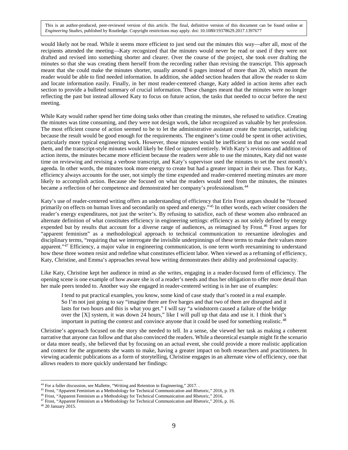would likely not be read. While it seems more efficient to just send out the minutes this way—after all, most of the recipients attended the meeting—Katy recognized that the minutes would never be read or used if they were not drafted and revised into something shorter and clearer. Over the course of the project, she took over drafting the minutes so that she was creating them herself from the recording rather than revising the transcript. This approach meant that she could make the minutes shorter, usually around 6 pages instead of more than 20, which meant the reader would be able to find needed information. In addition, she added section headers that allow the reader to skim and locate information easily. Finally, in her most reader-centered change, Katy added in action items after each section to provide a bulleted summary of crucial information. These changes meant that the minutes were no longer reflecting the past but instead allowed Katy to focus on future action, the tasks that needed to occur before the next meeting.

While Katy would rather spend her time doing tasks other than creating the minutes, she refused to satisfice. Creating the minutes was time consuming, and they were not design work, the labor recognized as valuable by her profession. The most efficient course of action seemed to be to let the administrative assistant create the transcript, satisficing because the result would be good enough for the requirements. The engineer's time could be spent in other activities, particularly more typical engineering work. However, those minutes would be inefficient in that no one would read them, and the transcript-style minutes would likely be filed or ignored entirely. With Katy's revisions and addition of action items, the minutes became more efficient because the readers were able to use the minutes, Katy did not waste time on reviewing and revising a verbose transcript, and Katy's supervisor used the minutes to set the next month's agenda. In other words, the minutes took more energy to create but had a greater impact in their use. Thus for Katy, efficiency always accounts for the user, not simply the time expended and reader-centered meeting minutes are more likely to accomplish action. Because she focused on what the readers would need from the minutes, the minutes became a reflection of her competence and demonstrated her company's professionalism.[44](#page-9-0)

Katy's use of reader-centered writing offers an understanding of efficiency that Erin Frost argues should be "focused primarily on effects on human lives and secondarily on speed and energy."[45](#page-9-1) In other words, each writer considers the reader's energy expenditures, not just the writer's. By refusing to satisfice, each of these women also embraced an alternate definition of what constitutes efficiency in engineering settings: efficiency as not solely defined by energy expended but by results that account for a diverse range of audiences, as reimagined by Frost.[46](#page-9-2) Frost argues for "apparent feminism" as a methodological approach to technical communication to reexamine ideologies and disciplinary terms, "requiring that we interrogate the invisible underpinnings of these terms to make their values more apparent."<sup>[47](#page-9-3)</sup> Efficiency, a major value in engineering communication, is one term worth reexamining to understand how these three women resist and redefine what constitutes efficient labor. When viewed as a reframing of efficiency, Katy, Christine, and Emma's approaches reveal how writing demonstrates their ability and professional capacity.

Like Katy, Christine kept her audience in mind as she writes, engaging in a reader-focused form of efficiency. The opening scene is one example of how aware she is of a reader's needs and thus her obligation to offer more detail than her male peers tended to. Another way she engaged in reader-centered writing is in her use of examples:

I tend to put practical examples, you know, some kind of case study that's rooted in a real example. So I'm not just going to say "imagine there are five barges and that two of them are disrupted and it lasts for two hours and this is what you get." I will say "a windstorm caused a failure of the bridge over the [X] system, it was down 24 hours," like I will pull up that data and use it. I think that's important in putting the context and convince anyone that it could be used for something realistic.<sup>[48](#page-9-4)</sup>

Christine's approach focused on the story she needed to tell. In a sense, she viewed her task as making a coherent narrative that anyone can follow and that also convinced the readers. While a theoretical example might fit the scenario or data more neatly, she believed that by focusing on an actual event, she could provide a more realistic application and context for the arguments she wants to make, having a greater impact on both researchers and practitioners. In viewing academic publications as a form of storytelling, Christine engages in an alternate view of efficiency, one that allows readers to more quickly understand her findings:

<sup>&</sup>lt;sup>44</sup> For a fuller discussion, see Mallette, "Writing and Retention in Engineering," 2017. .

<span id="page-9-1"></span><span id="page-9-0"></span><sup>&</sup>lt;sup>45</sup> Frost, "Apparent Feminism as a Methodology for Technical Communication and Rhetoric," 2016, p. 19.

<span id="page-9-2"></span><sup>46</sup> Frost, "Apparent Feminism as a Methodology for Technical Communication and Rhetoric," 2016.

<span id="page-9-3"></span><sup>&</sup>lt;sup>47</sup> Frost, "Apparent Feminism as a Methodology for Technical Communication and Rhetoric," 2016, p. 16.

<span id="page-9-4"></span><sup>48</sup> 20 January 2015.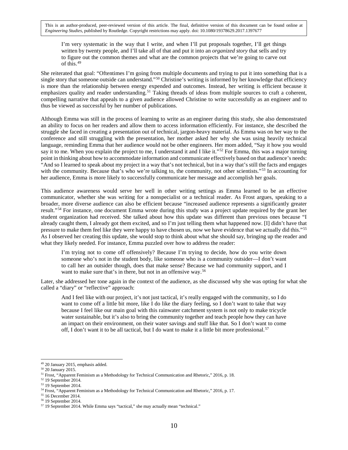I'm very systematic in the way that I write, and when I'll put proposals together, I'll get things written by twenty people, and I'll take all of that and put it into an *organized story* that sells and try to figure out the common themes and what are the common projects that we're going to carve out of this.[49](#page-10-0)

She reiterated that goal: "Oftentimes I'm going from multiple documents and trying to put it into something that is a single story that someone outside can understand."<sup>[50](#page-10-1)</sup> Christine's writing is informed by her knowledge that efficiency is more than the relationship between energy expended and outcomes. Instead, her writing is efficient because it emphasizes quality and reader understanding.<sup>[51](#page-10-2)</sup> Taking threads of ideas from multiple sources to craft a coherent, compelling narrative that appeals to a given audience allowed Christine to write successfully as an engineer and to thus be viewed as successful by her number of publications.

Although Emma was still in the process of learning to write as an engineer during this study, she also demonstrated an ability to focus on her readers and allow them to access information efficiently. For instance, she described the struggle she faced in creating a presentation out of technical, jargon-heavy material. As Emma was on her way to the conference and still struggling with the presentation, her mother asked her why she was using heavily technical language, reminding Emma that her audience would not be other engineers. Her mom added, "Say it how you would say it to me. When you explain the project to me, I understand it and I like it."<sup>[52](#page-10-3)</sup> For Emma, this was a major turning point in thinking about how to accommodate information and communicate effectively based on that audience's needs: "And so I learned to speak about my project in a way that's not technical, but in a way that's still the facts and engages with the community. Because that's who we're talking to, the community, not other scientists."<sup>[53](#page-10-4)</sup> In accounting for her audience, Emma is more likely to successfully communicate her message and accomplish her goals.

This audience awareness would serve her well in other writing settings as Emma learned to be an effective communicator, whether she was writing for a nonspecialist or a technical reader. As Frost argues, speaking to a broader, more diverse audience can also be efficient because "increased audience represents a significantly greater result."[54](#page-10-5) For instance, one document Emma wrote during this study was a project update required by the grant her student organization had received. She talked about how this update was different than previous ones because "I already caught them, I already got them excited, and so I'm just telling them what happened now. [I] didn't have that pressure to make them feel like they were happy to have chosen us, now we have evidence that we actually did this."<sup>[55](#page-10-6)</sup> As I observed her creating this update, she would stop to think about what she should say, bringing up the reader and what they likely needed. For instance, Emma puzzled over how to address the reader:

I'm trying not to come off offensively? Because I'm trying to decide, how do you write down someone who's not in the student body, like someone who is a community outsider—I don't want to call her an outsider though, does that make sense? Because we had community support, and I want to make sure that's in there, but not in an offensive way.<sup>[56](#page-10-7)</sup>

Later, she addressed her tone again in the context of the audience, as she discussed why she was opting for what she called a "diary" or "reflective" approach:

And I feel like with our project, it's not just tactical, it's really engaged with the community, so I do want to come off a little bit more, like I do like the diary feeling, so I don't want to take that way because I feel like our main goal with this rainwater catchment system is not only to make tricycle water sustainable, but it's also to bring the community together and teach people how they can have an impact on their environment, on their water savings and stuff like that. So I don't want to come off, I don't want it to be all tactical, but I do want to make it a little bit more professional.<sup>[57](#page-10-8)</sup>

<span id="page-10-0"></span><sup>49</sup> 20 January 2015, emphasis added.

<span id="page-10-1"></span><sup>50</sup> 20 January 2015.

<span id="page-10-2"></span><sup>&</sup>lt;sup>51</sup> Frost, "Apparent Feminism as a Methodology for Technical Communication and Rhetoric," 2016, p. 18.

<sup>52</sup> 19 September 2014.

<span id="page-10-4"></span><span id="page-10-3"></span><sup>53</sup> 19 September 2014.

<span id="page-10-5"></span><sup>&</sup>lt;sup>54</sup> Frost, "Apparent Feminism as a Methodology for Technical Communication and Rhetoric," 2016, p. 17.

<span id="page-10-6"></span><sup>55</sup> 16 December 2014.

<span id="page-10-7"></span><sup>56</sup> 19 September 2014.

<span id="page-10-8"></span><sup>57</sup> 19 September 2014. While Emma says "tactical," she may actually mean "technical."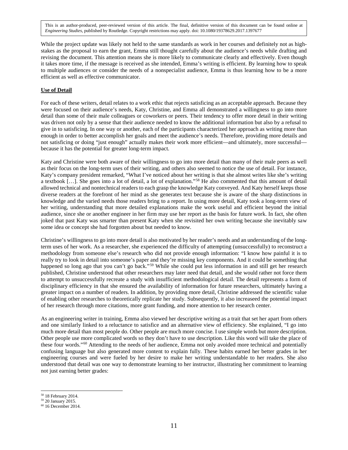While the project update was likely not held to the same standards as work in her courses and definitely not as highstakes as the proposal to earn the grant, Emma still thought carefully about the audience's needs while drafting and revising the document. This attention means she is more likely to communicate clearly and effectively. Even though it takes more time, if the message is received as she intended, Emma's writing is efficient. By learning how to speak to multiple audiences or consider the needs of a nonspecialist audience, Emma is thus learning how to be a more efficient as well as effective communicator.

# **Use of Detail**

For each of these writers, detail relates to a work ethic that rejects satisficing as an acceptable approach. Because they were focused on their audience's needs, Katy, Christine, and Emma all demonstrated a willingness to go into more detail than some of their male colleagues or coworkers or peers. Their tendency to offer more detail in their writing was driven not only by a sense that their audience needed to know the additional information but also by a refusal to give in to satisficing. In one way or another, each of the participants characterized her approach as writing more than enough in order to better accomplish her goals and meet the audience's needs. Therefore, providing more details and not satisficing or doing "just enough" actually makes their work more efficient—and ultimately, more successful because it has the potential for greater long-term impact.

Katy and Christine were both aware of their willingness to go into more detail than many of their male peers as well as their focus on the long-term uses of their writing, and others also seemed to notice the use of detail. For instance, Katy's company president remarked, "What I've noticed about her writing is that she almost writes like she's writing a textbook […]. She goes into a lot of detail, a lot of explanation."[58](#page-11-0) He also commented that this amount of detail allowed technical and nontechnical readers to each grasp the knowledge Katy conveyed. And Katy herself keeps those diverse readers at the forefront of her mind as she generates text because she is aware of the sharp distinctions in knowledge and the varied needs those readers bring to a report. In using more detail, Katy took a long-term view of her writing, understanding that more detailed explanations make the work useful and efficient beyond the initial audience, since she or another engineer in her firm may use her report as the basis for future work. In fact, she often joked that past Katy was smarter than present Katy when she revisited her own writing because she inevitably saw some idea or concept she had forgotten about but needed to know.

Christine's willingness to go into more detail is also motivated by her reader's needs and an understanding of the longterm uses of her work. As a researcher, she experienced the difficulty of attempting (unsuccessfully) to reconstruct a methodology from someone else's research who did not provide enough information: "I know how painful it is to really try to look in detail into someone's paper and they're missing key components. And it could be something that happened so long ago that you can't go back."<sup>[59](#page-11-1)</sup> While she could put less information in and still get her research published, Christine understood that other researchers may later need that detail, and she would rather not force them to attempt to unsuccessfully recreate a study with insufficient methodological detail. The detail represents a form of disciplinary efficiency in that she ensured the availability of information for future researchers, ultimately having a greater impact on a number of readers. In addition, by providing more detail, Christine addressed the scientific value of enabling other researches to theoretically replicate her study. Subsequently, it also increaseed the potential impact of her research through more citations, more grant funding, and more attention to her research center.

As an engineering writer in training, Emma also viewed her descriptive writing as a trait that set her apart from others and one similarly linked to a reluctance to satisfice and an alternative view of efficiency. She explained, "I go into much more detail than most people do. Other people are much more concise. I use simple words but more description. Other people use more complicated words so they don't have to use description. Like this word will take the place of these four words."[60](#page-11-2) Attending to the needs of her audience, Emma not only avoided more technical and potentially confusing language but also generated more content to explain fully. These habits earned her better grades in her engineering courses and were fueled by her desire to make her writing understandable to her readers. She also understood that detail was one way to demonstrate learning to her instructor, illustrating her commitment to learning not just earning better grades:

<span id="page-11-0"></span><sup>58</sup> 18 February 2014.

<sup>59</sup> 20 January 2015.

<span id="page-11-2"></span><span id="page-11-1"></span><sup>60</sup> 16 December 2014.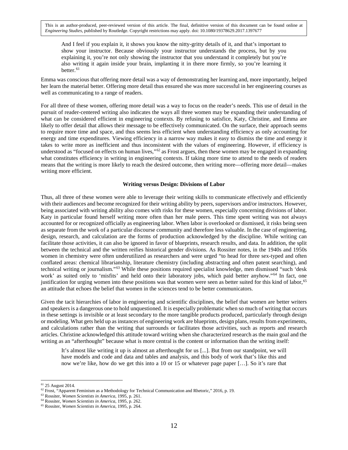And I feel if you explain it, it shows you know the nitty-gritty details of it, and that's important to show your instructor. Because obviously your instructor understands the process, but by you explaining it, you're not only showing the instructor that you understand it completely but you're also writing it again inside your brain, implanting it in there more firmly, so you're learning it better.<sup>[61](#page-12-0)</sup>

Emma was conscious that offering more detail was a way of demonstrating her learning and, more importantly, helped her learn the material better. Offering more detail thus ensured she was more successful in her engineering courses as well as communicating to a range of readers.

For all three of these women, offering more detail was a way to focus on the reader's needs. This use of detail in the pursuit of reader-centered writing also indicates the ways all three women may be expanding their understanding of what can be considered efficient in engineering contexts. By refusing to satisfice, Katy, Christine, and Emma are likely to offer detail that allows their message to be effectively communicated. On the surface, their approach seems to require more time and space, and thus seems less efficient when understanding efficiency as only accounting for energy and time expenditures. Viewing efficiency in a narrow way makes it easy to dismiss the time and energy it takes to write more as inefficient and thus inconsistent with the values of engineering. However, if efficiency is understood as "focused on effects on human lives,"<sup>[62](#page-12-1)</sup> as Frost argues, then these women may be engaged in expanding what constitutes efficiency in writing in engineering contexts. If taking more time to attend to the needs of readers means that the writing is more likely to reach the desired outcome, then writing more—offering more detail—makes writing more efficient.

# **Writing versus Design: Divisions of Labor**

Thus, all three of these women were able to leverage their writing skills to communicate effectively and efficiently with their audiences and become recognized for their writing ability by peers, supervisors and/or instructors. However, being associated with writing ability also comes with risks for these women, especially concerning divisions of labor. Katy in particular found herself writing more often than her male peers. This time spent writing was not always accounted for or recognized officially as engineering labor. When labor is overlooked or dismissed, it risks being seen as separate from the work of a particular discourse community and therefore less valuable. In the case of engineering, design, research, and calculation are the forms of production acknowledged by the discipline. While writing can facilitate those activities, it can also be ignored in favor of blueprints, research results, and data. In addition, the split between the technical and the written reifies historical gender divisions. As Rossiter notes, in the 1940s and 1950s women in chemistry were often underutilized as researchers and were urged "to head for three sex-typed and often conflated areas: chemical librarianship, literature chemistry (including abstracting and often patent searching), and technical writing or journalism."[63](#page-12-2) While these positions required specialist knowledge, men dismissed "such 'desk work' as suited only to 'misfits' and held onto their laboratory jobs, which paid better anyhow."<sup>[64](#page-12-3)</sup> In fact, one justification for urging women into these positions was that women were seen as better suited for this kind of labor,<sup>[65](#page-12-4)</sup> an attitude that echoes the belief that women in the sciences tend to be better communicators.

Given the tacit hierarchies of labor in engineering and scientific disciplines, the belief that women are better writers and speakers is a dangerous one to hold unquestioned. It is especially problematic when so much of writing that occurs in these settings is invisible or at least secondary to the more tangible products produced, particularly through design or modeling. What gets held up as instances of engineering work are blueprints, design plans, results from experiments, and calculations rather than the writing that surrounds or facilitates those activities, such as reports and research articles. Christine acknowledged this attitude toward writing when she characterized research as the main goal and the writing as an "afterthought" because what is more central is the content or information than the writing itself:

It's almost like writing it up is almost an afterthought for us [...]. But from our standpoint, we will have models and code and data and tables and analysis, and this body of work that's like this and now we're like, how do we get this into a 10 or 15 or whatever page paper […]. So it's rare that

<sup>&</sup>lt;sup>61</sup> 25 August 2014.

<span id="page-12-1"></span><span id="page-12-0"></span><sup>&</sup>lt;sup>62</sup> Frost, "Apparent Feminism as a Methodology for Technical Communication and Rhetoric," 2016, p. 19.

<span id="page-12-2"></span><sup>63</sup> Rossiter, *Women Scientists in America*, 1995, p. 261.

<span id="page-12-3"></span><sup>64</sup> Rossiter, *Women Scientists in America*, 1995, p. 262.

<span id="page-12-4"></span><sup>65</sup> Rossiter, *Women Scientists in America*, 1995, p. 264.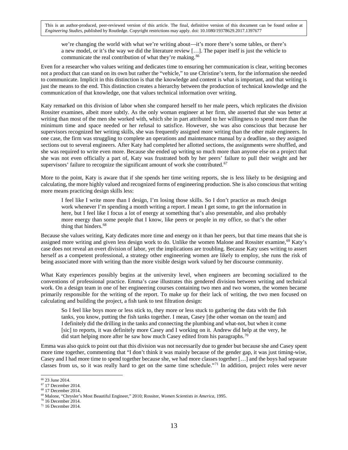we're changing the world with what we're writing about—it's more there's some tables, or there's a new model, or it's the way we did the literature review […]. The paper itself is just the vehicle to communicate the real contribution of what they're making.<sup>[66](#page-13-0)</sup>

Even for a researcher who values writing and dedicates time to ensuring her communication is clear, writing becomes not a product that can stand on its own but rather the "vehicle," to use Christine's term, for the information she needed to communicate. Implicit in this distinction is that the knowledge and content is what is important, and that writing is just the means to the end. This distinction creates a hierarchy between the production of technical knowledge and the communication of that knowledge, one that values technical information over writing.

Katy remarked on this division of labor when she compared herself to her male peers, which replicates the division Rossiter examines, albeit more subtly. As the only woman engineer at her firm, she asserted that she was better at writing than most of the men she worked with, which she in part attributed to her willingness to spend more than the minimum time and space needed or her refusal to satisfice. However, she was also conscious that because her supervisors recognized her writing skills, she was frequently assigned more writing than the other male engineers. In one case, the firm was struggling to complete an operations and maintenance manual by a deadline, so they assigned sections out to several engineers. After Katy had completed her allotted sections, the assignments were shuffled, and she was required to write even more. Because she ended up writing so much more than anyone else on a project that she was not even officially a part of, Katy was frustrated both by her peers' failure to pull their weight and her supervisors' failure to recognize the significant amount of work she contributed.<sup>[67](#page-13-1)</sup>

More to the point, Katy is aware that if she spends her time writing reports, she is less likely to be designing and calculating, the more highly valued and recognized forms of engineering production. She is also conscious that writing more means practicing design skills less:

I feel like I write more than I design, I'm losing those skills. So I don't practice as much design work whenever I'm spending a month writing a report. I mean I get some, to get the information in here, but I feel like I focus a lot of energy at something that's also presentable, and also probably more energy than some people that I know, like peers or people in my office, so that's the other thing that hinders.<sup>[68](#page-13-2)</sup>

Because she values writing, Katy dedicates more time and energy on it than her peers, but that time means that she is assigned more writing and given less design work to do. Unlike the women Malone and Rossiter examine,<sup>[69](#page-13-3)</sup> Katy's case does not reveal an overt division of labor, yet the implications are troubling. Because Katy uses writing to assert herself as a competent professional, a strategy other engineering women are likely to employ, she runs the risk of being associated more with writing than the more visible design work valued by her discourse community.

What Katy experiences possibly begins at the university level, when engineers are becoming socialized to the conventions of professional practice. Emma's case illustrates this gendered division between writing and technical work. On a design team in one of her engineering courses containing two men and two women, the women became primarily responsible for the writing of the report. To make up for their lack of writing, the two men focused on calculating and building the project, a fish tank to test filtration design:

So I feel like boys more or less stick to, they more or less stuck to gathering the data with the fish tanks, you know, putting the fish tanks together. I mean, Casey [the other woman on the team] and I definitely did the drilling in the tanks and connecting the plumbing and what-not, but when it come [sic] to reports, it was definitely more Casey and I working on it. Andrew did help at the very, he did start helping more after he saw how much Casey edited from his paragraphs.<sup>[70](#page-13-4)</sup>

Emma was also quick to point out that this division was not necessarily due to gender but because she and Casey spent more time together, commenting that "I don't think it was mainly because of the gender gap, it was just timing-wise, Casey and I had more time to spend together because she, we had more classes together […] and the boys had separate classes from us, so it was really hard to get on the same time schedule."[71](#page-13-5) In addition, project roles were never

<span id="page-13-0"></span><sup>66</sup> 23 June 2014.

<span id="page-13-1"></span><sup>67</sup> 17 December 2014.

<span id="page-13-3"></span><span id="page-13-2"></span><sup>68</sup> 17 December 2014.

<sup>69</sup> Malone, "Chrysler's Most Beautiful Engineer," 2010; Rossiter, *Women Scientists in America*, 1995.

<sup>70</sup> 16 December 2014.

<span id="page-13-5"></span><span id="page-13-4"></span><sup>71</sup> 16 December 2014.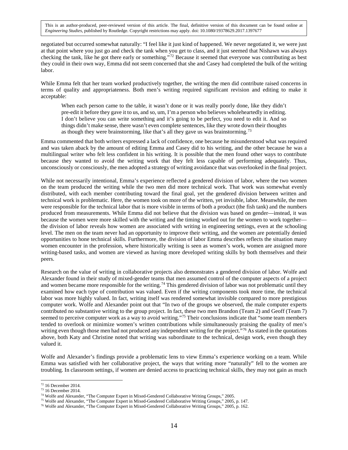negotiated but occurred somewhat naturally: "I feel like it just kind of happened. We never negotiated it, we were just at that point where you just go and check the tank when you get to class, and it just seemed that Nishawn was always checking the tank, like he got there early or something."[72](#page-14-0) Because it seemed that everyone was contributing as best they could in their own way, Emma did not seem concerned that she and Casey had completed the bulk of the writing labor.

While Emma felt that her team worked productively together, the writing the men did contribute raised concerns in terms of quality and appropriateness. Both men's writing required significant revision and editing to make it acceptable:

When each person came to the table, it wasn't done or it was really poorly done, like they didn't pre-edit it before they gave it to us, and so, um, I'm a person who believes wholeheartedly in editing. I don't believe you can write something and it's going to be perfect, you need to edit it. And so things didn't make sense, there wasn't even complete sentences, like they wrote down their thoughts as though they were brainstorming, like that's all they gave us was brainstorming.<sup>[73](#page-14-1)</sup>

Emma commented that both writers expressed a lack of confidence, one because he misunderstood what was required and was taken aback by the amount of editing Emma and Casey did to his writing, and the other because he was a multilingual writer who felt less confident in his writing. It is possible that the men found other ways to contribute because they wanted to avoid the writing work that they felt less capable of performing adequately. Thus, unconsciously or consciously, the men adopted a strategy of writing avoidance that was overlooked in the final project.

While not necessarily intentional, Emma's experience reflected a gendered division of labor, where the two women on the team produced the writing while the two men did more technical work. That work was somewhat evenly distributed, with each member contributing toward the final goal, yet the gendered division between written and technical work is problematic. Here, the women took on more of the written, yet invisible, labor. Meanwhile, the men were responsible for the technical labor that is more visible in terms of both a product (the fish tank) and the numbers produced from measurements. While Emma did not believe that the division was based on gender—instead, it was because the women were more skilled with the writing and the timing worked out for the women to work together the division of labor reveals how women are associated with writing in engineering settings, even at the schooling level. The men on the team never had an opportunity to improve their writing, and the women are potentially denied opportunities to hone technical skills. Furthermore, the division of labor Emma describes reflects the situation many women encounter in the profession, where historically writing is seen as women's work, women are assigned more writing-based tasks, and women are viewed as having more developed writing skills by both themselves and their peers.

Research on the value of writing in collaborative projects also demonstrates a gendered division of labor. Wolfe and Alexander found in their study of mixed-gender teams that men assumed control of the computer aspects of a project and women became more responsible for the writing.<sup>[74](#page-14-2)</sup> This gendered division of labor was not problematic until they examined how each type of contribution was valued. Even if the writing components took more time, the technical labor was more highly valued. In fact, writing itself was rendered somewhat invisible compared to more prestigious computer work. Wolfe and Alexander point out that "In two of the groups we observed, the male computer experts contributed no substantive writing to the group project. In fact, these two men Brandon (Team 2) and Geoff (Team 7) seemed to perceive computer work as a way to avoid writing."<sup>[75](#page-14-3)</sup> Their conclusions indicate that "some team members tended to overlook or minimize women's written contributions while simultaneously praising the quality of men's writing even though those men had not produced any independent writing for the project."<sup>76</sup> As stated in the quotations above, both Katy and Christine noted that writing was subordinate to the technical, design work, even though they valued it.

Wolfe and Alexander's findings provide a problematic lens to view Emma's experience working on a team. While Emma was satisfied with her collaborative project, the ways that writing more "naturally" fell to the women are troubling. In classroom settings, if women are denied access to practicing technical skills, they may not gain as much

 $72$  16 December 2014.  $\overline{a}$ 

<span id="page-14-1"></span><span id="page-14-0"></span><sup>73</sup> 16 December 2014.

<span id="page-14-2"></span><sup>74</sup> Wolfe and Alexander, "The Computer Expert in Mixed-Gendered Collaborative Writing Groups," 2005.

<sup>75</sup> Wolfe and Alexander, "The Computer Expert in Mixed-Gendered Collaborative Writing Groups," 2005, p. 147.

<span id="page-14-4"></span><span id="page-14-3"></span><sup>76</sup> Wolfe and Alexander, "The Computer Expert in Mixed-Gendered Collaborative Writing Groups," 2005, p. 162.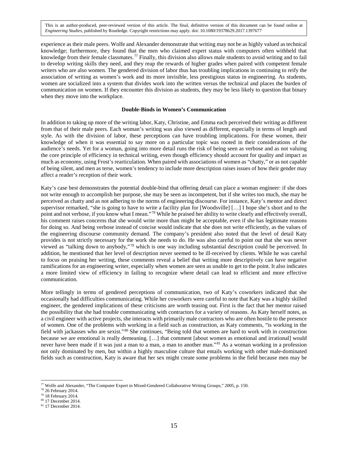experience as their male peers. Wolfe and Alexander demonstrate that writing may not be as highly valued as technical knowledge; furthermore, they found that the men who claimed expert status with computers often withheld that knowledge from their female classmates.<sup>[77](#page-15-0)</sup> Finally, this division also allows male students to avoid writing and to fail to develop writing skills they need, and they reap the rewards of higher grades when paired with competent female writers who are also women. The gendered division of labor thus has troubling implications in continuing to reify the association of writing as women's work and its more invisible, less prestigious status in engineering. As students, women are socialized into a system that divides work into the written versus the technical and places the burden of communication on women. If they encounter this division as students, they may be less likely to question that binary when they move into the workplace.

#### **Double-Binds in Women's Communication**

In addition to taking up more of the writing labor, Katy, Christine, and Emma each perceived their writing as different from that of their male peers. Each woman's writing was also viewed as different, especially in terms of length and style. As with the division of labor, these perceptions can have troubling implications. For these women, their knowledge of when it was essential to say more on a particular topic was rooted in their considerations of the audience's needs. Yet for a woman, going into more detail runs the risk of being seen as verbose and as not valuing the core principle of efficiency in technical writing, even though efficiency should account for quality and impact as much as economy, using Frost's rearticulation. When paired with associations of women as "chatty," or as not capable of being silent, and men as terse, women's tendency to include more description raises issues of how their gender may affect a reader's reception of their work.

Katy's case best demonstrates the potential double-bind that offering detail can place a woman engineer: if she does not write enough to accomplish her purpose, she may be seen as incompetent, but if she writes too much, she may be perceived as chatty and as not adhering to the norms of engineering discourse. For instance, Katy's mentor and direct supervisor remarked, "she is going to have to write a facility plan for [Woodsville] [...] I hope she's short and to the point and not verbose, if you know what I mean."[78](#page-15-1) While he praised her ability to write clearly and effectively overall, his comment raises concerns that she would write more than might be acceptable, even if she has legitimate reasons for doing so. And being verbose instead of concise would indicate that she does not write efficiently, as the values of the engineering discourse community demand. The company's president also noted that the level of detail Katy provides is not strictly necessary for the work she needs to do. He was also careful to point out that she was never viewed as "talking down to anybody,"[79](#page-15-2) which is one way including substantial description could be perceived. In addition, he mentioned that her level of description never seemed to be ill-received by clients. While he was careful to focus on praising her writing, these comments reveal a belief that writing more descriptively can have negative ramifications for an engineering writer, especially when women are seen as unable to get to the point. It also indicates a more limited view of efficiency in failing to recognize where detail can lead to efficient and more effective communication.

More tellingly in terms of gendered perceptions of communication, two of Katy's coworkers indicated that she occasionally had difficulties communicating. While her coworkers were careful to note that Katy was a highly skilled engineer, the gendered implications of these criticisms are worth teasing out. First is the fact that her mentor raised the possibility that she had trouble communicating with contractors for a variety of reasons. As Katy herself notes, as a civil engineer with active projects, she interacts with primarily male contractors who are often hostile to the presence of women. One of the problems with working in a field such as construction, as Katy comments, "is working in the field with jackasses who are sexist."[80](#page-15-3) She continues, "Being told that women are hard to work with in construction because we are emotional is really demeaning. […] that comment [about women as emotional and irrational] would never have been made if it was just a man to a man, a man to another man."<sup>[81](#page-15-4)</sup> As a woman working in a profession not only dominated by men, but within a highly masculine culture that entails working with other male-dominated fields such as construction, Katy is aware that her sex might create some problems in the field because men may be

<sup>77</sup> Wolfe and Alexander, "The Computer Expert in Mixed-Gendered Collaborative Writing Groups," 2005, p. 150.  $\overline{a}$ 

<span id="page-15-1"></span><span id="page-15-0"></span><sup>78</sup> 26 February 2014.

<span id="page-15-2"></span><sup>79</sup> 18 February 2014.

<sup>80</sup> 17 December 2014.

<span id="page-15-4"></span><span id="page-15-3"></span><sup>81</sup> 17 December 2014.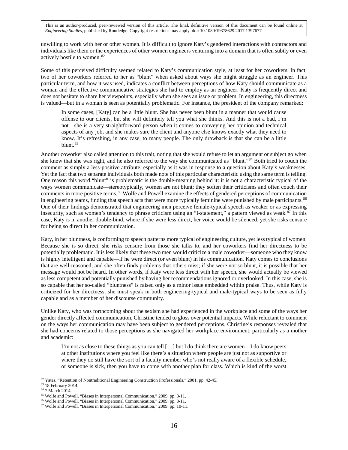unwilling to work with her or other women. It is difficult to ignore Katy's gendered interactions with contractors and individuals like them or the experiences of other women engineers venturing into a domain that is often subtly or even actively hostile to women.[82](#page-16-0)

Some of this perceived difficulty seemed related to Katy's communication style, at least for her coworkers. In fact, two of her coworkers referred to her as "blunt" when asked about ways she might struggle as an engineer. This particular term, and how it was used, indicates a conflict between perceptions of how Katy should communicate as a woman and the effective communicative strategies she had to employ as an engineer. Katy is frequently direct and does not hesitate to share her viewpoints, especially when she sees an issue or problem. In engineering, this directness is valued—but in a woman is seen as potentially problematic. For instance, the president of the company remarked:

In some cases, [Katy] can be a little blunt. She has never been blunt in a manner that would cause offense to our clients, but she will definitely tell you what she thinks. And this is not a bad, I'm not—she is a very straightforward person when it comes to conveying her opinion and technical aspects of any job, and she makes sure the client and anyone else knows exactly what they need to know. It's refreshing, in any case, to many people. The only drawback is that she can be a little blunt.<sup>[83](#page-16-1)</sup>

Another coworker also called attention to this trait, noting that she would refuse to let an argument or subject go when she knew that she was right, and he also referred to the way she communicated as "blunt."[84](#page-16-2) Both tried to couch the comment as simply a less-positive attribute, especially as it was in response to a question about Katy's weaknesses. Yet the fact that two separate individuals both made note of this particular characteristic using the same term is telling. One reason this word "blunt" is problematic is the double-meaning behind it: it is not a characteristic typical of the ways women communicate—stereotypically, women are not blunt; they soften their criticisms and often couch their comments in more positive terms.<sup>[85](#page-16-3)</sup> Wolfe and Powell examine the effects of gendered perceptions of communication in engineering teams, finding that speech acts that were more typically feminine were punished by male participants.<sup>[86](#page-16-4)</sup> One of their findings demonstrated that engineering men perceive female-typical speech as weaker or as expressing insecurity, such as women's tendency to phrase criticism using an "I-statement," a pattern viewed as weak.<sup>[87](#page-16-5)</sup> In this case, Katy is in another double-bind, where if she were less direct, her voice would be silenced, yet she risks censure for being so direct in her communication.

Katy, in her bluntness, is conforming to speech patterns more typical of engineering culture, yet less typical of women. Because she is so direct, she risks censure from those she talks to, and her coworkers find her directness to be potentially problematic. It is less likely that these two men would criticize a male coworker—someone who they know is highly intelligent and capable—if he were direct (or even blunt) in his communication. Katy comes to conclusions that are well-reasoned, and she often finds problems that others miss; if she were not so blunt, it is possible that her message would not be heard. In other words, if Katy were less direct with her speech, she would actually be viewed as less competent and potentially punished by having her recommendations ignored or overlooked. In this case, she is so capable that her so-called "bluntness" is raised only as a minor issue embedded within praise. Thus, while Katy is criticized for her directness, she must speak in both engineering-typical and male-typical ways to be seen as fully capable and as a member of her discourse community.

Unlike Katy, who was forthcoming about the sexism she had experienced in the workplace and some of the ways her gender directly affected communication, Christine tended to gloss over potential impacts. While reluctant to comment on the ways her communication may have been subject to gendered perceptions, Christine's responses revealed that she had concerns related to those perceptions as she navigated her workplace environment, particularly as a mother and academic:

I'm not as close to these things as you can tell […] but I do think there are women—I do know peers at other institutions where you feel like there's a situation where people are just not as supportive or where they do still have the sort of a faculty member who's not really aware of a flexible schedule, or someone is sick, then you have to come with another plan for class. Which is kind of the worst

<sup>82</sup> Yates, "Retention of Nontraditional Engineering Construction Professionals," 2001, pp. 42-45.  $\overline{a}$ 

<span id="page-16-1"></span><span id="page-16-0"></span><sup>83</sup> 18 February 2014.

<span id="page-16-2"></span><sup>84</sup> 7 March 2014.

<span id="page-16-3"></span><sup>85</sup> Wolfe and Powell, "Biases in Interpersonal Communication," 2009, pp. 8-11.

<sup>86</sup> Wolfe and Powell, "Biases in Interpersonal Communication," 2009, pp. 8-11.

<span id="page-16-5"></span><span id="page-16-4"></span><sup>87</sup> Wolfe and Powell, "Biases in Interpersonal Communication," 2009, pp. 10-11.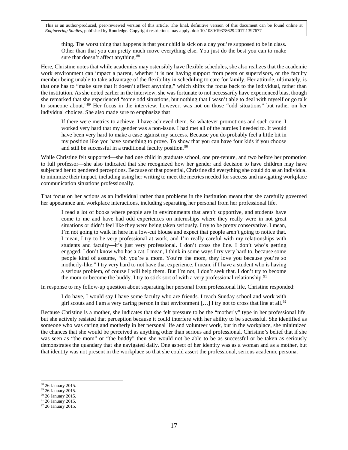thing. The worst thing that happens is that your child is sick on a day you're supposed to be in class. Other than that you can pretty much move everything else. You just do the best you can to make sure that doesn't affect anything.<sup>[88](#page-17-0)</sup>

Here, Christine notes that while academics may ostensibly have flexible schedules, she also realizes that the academic work environment can impact a parent, whether it is not having support from peers or supervisors, or the faculty member being unable to take advantage of the flexibility in scheduling to care for family. Her attitude, ultimately, is that one has to "make sure that it doesn't affect anything," which shifts the focus back to the individual, rather than the institution. As she noted earlier in the interview, she was fortunate to not necessarily have experienced bias, though she remarked that she experienced "some odd situations, but nothing that I wasn't able to deal with myself or go talk to someone about."[89](#page-17-1) Her focus in the interview, however, was not on those "odd situations" but rather on her individual choices. She also made sure to emphasize that

If there were metrics to achieve, I have achieved them. So whatever promotions and such came, I worked very hard that my gender was a non-issue. I had met all of the hurdles I needed to. It would have been very hard to make a case against my success. Because you do probably feel a little bit in my position like you have something to prove. To show that you can have four kids if you choose and still be successful in a traditional faculty position.<sup>[90](#page-17-2)</sup>

While Christine felt supported—she had one child in graduate school, one pre-tenure, and two before her promotion to full professor—she also indicated that she recognized how her gender and decision to have children may have subjected her to gendered perceptions. Because of that potential, Christine did everything she could do as an individual to minimize their impact, including using her writing to meet the metrics needed for success and navigating workplace communication situations professionally.

That focus on her actions as an individual rather than problems in the institution meant that she carefully governed her appearance and workplace interactions, including separating her personal from her professional life.

I read a lot of books where people are in environments that aren't supportive, and students have come to me and have had odd experiences on internships where they really were in not great situations or didn't feel like they were being taken seriously. I try to be pretty conservative. I mean, I'm not going to walk in here in a low-cut blouse and expect that people aren't going to notice that. I mean, I try to be very professional at work, and I'm really careful with my relationships with students and faculty—it's just very professional. I don't cross the line. I don't who's getting engaged. I don't know who has a cat. I mean, I think in some ways I try very hard to, because some people kind of assume, "oh you're a mom. You're the mom, they love you because you're so motherly-like." I try very hard to not have that experience. I mean, if I have a student who is having a serious problem, of course I will help them. But I'm not, I don't seek that. I don't try to become the mom or become the buddy. I try to stick sort of with a very professional relationship.<sup>[91](#page-17-3)</sup>

In response to my follow-up question about separating her personal from professional life, Christine responded:

I do have, I would say I have some faculty who are friends. I teach Sunday school and work with girl scouts and I am a very caring person in that environment  $[\dots]$  I try not to cross that line at all.<sup>[92](#page-17-4)</sup>

Because Christine is a mother, she indicates that she felt pressure to be the "motherly" type in her professional life, but she actively resisted that perception because it could interfere with her ability to be successful. She identified as someone who was caring and motherly in her personal life and volunteer work, but in the workplace, she minimized the chances that she would be perceived as anything other than serious and professional. Christine's belief that if she was seen as "the mom" or "the buddy" then she would not be able to be as successful or be taken as seriously demonstrates the quandary that she navigated daily. One aspect of her identity was as a woman and as a mother, but that identity was not present in the workplace so that she could assert the professional, serious academic persona.

<span id="page-17-0"></span><sup>88 26</sup> January 2015.

<span id="page-17-2"></span><span id="page-17-1"></span><sup>89</sup> 26 January 2015.

<sup>90</sup> 26 January 2015.

<span id="page-17-3"></span><sup>&</sup>lt;sup>91</sup> 26 January 2015.

<span id="page-17-4"></span><sup>&</sup>lt;sup>92</sup> 26 January 2015.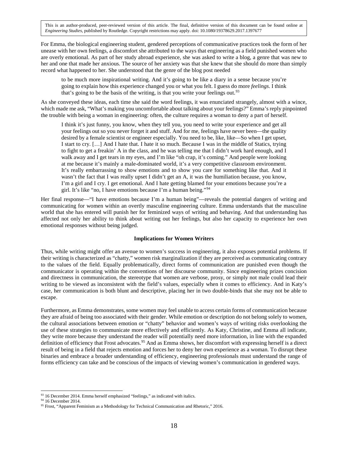For Emma, the biological engineering student, gendered perceptions of communicative practices took the form of her unease with her own feelings, a discomfort she attributed to the ways that engineering as a field punished women who are overly emotional. As part of her study abroad experience, she was asked to write a blog, a genre that was new to her and one that made her anxious. The source of her anxiety was that she knew that she should do more than simply record what happened to her. She understood that the genre of the blog post needed

to be much more inspirational writing. And it's going to be like a diary in a sense because you're going to explain how this experience changed you or what you felt. I guess do more *feelings*. I think that's going to be the basis of the writing, is that you write your feelings out.<sup>[93](#page-18-0)</sup>

As she conveyed these ideas, each time she said the word feelings, it was enunciated strangely, almost with a wince, which made me ask, "What's making you uncomfortable about talking about your feelings?" Emma's reply pinpointed the trouble with being a woman in engineering: often, the culture requires a woman to deny a part of herself.

I think it's just funny, you know, when they tell you, you need to write your experience and get all your feelings out so you never forget it and stuff. And for me, feelings have never been—the quality desired by a female scientist or engineer especially. You need to be, like, like—So when I get upset, I start to cry. […] And I hate that. I hate it so much. Because I was in the middle of Statics, trying to fight to get a freakin' A in the class, and he was telling me that I didn't work hard enough, and I walk away and I get tears in my eyes, and I'm like "oh crap, it's coming." And people were looking at me because it's mainly a male-dominated world, it's a very competitive classroom environment. It's really embarrassing to show emotions and to show you care for something like that. And it wasn't the fact that I was really upset I didn't get an A, it was the humiliation because, you know, I'm a girl and I cry. I get emotional. And I hate getting blamed for your emotions because you're a girl. It's like "no, I have emotions because I'm a human being."[94](#page-18-1)

Her final response—"I have emotions because I'm a human being"—reveals the potential dangers of writing and communicating for women within an overtly masculine engineering culture. Emma understands that the masculine world that she has entered will punish her for feminized ways of writing and behaving. And that understanding has affected not only her ability to think about writing out her feelings, but also her capacity to experience her own emotional responses without being judged.

#### **Implications for Women Writers**

Thus, while writing might offer an avenue to women's success in engineering, it also exposes potential problems. If their writing is characterized as "chatty," women risk marginalization if they are perceived as communicating contrary to the values of the field. Equally problematically, direct forms of communication are punished even though the communicator is operating within the conventions of her discourse community. Since engineering prizes concision and directness in communication, the stereotype that women are verbose, prosy, or simply not male could lead their writing to be viewed as inconsistent with the field's values, especially when it comes to efficiency. And in Katy's case, her communication is both blunt and descriptive, placing her in two double-binds that she may not be able to escape.

Furthermore, as Emma demonstrates, some women may feel unable to access certain forms of communication because they are afraid of being too associated with their gender. While emotion or description do not belong solely to women, the cultural associations between emotion or "chatty" behavior and women's ways of writing risks overlooking the use of these strategies to communicate more effectively and efficiently. As Katy, Christine, and Emma all indicate, they write more because they understand the reader will potentially need more information, in line with the expanded definition of efficiency that Frost advocates.<sup>[95](#page-18-2)</sup> And as Emma shows, her discomfort with expressing herself is a direct result of being in a field that rejects emotion and forces her to deny her own experience as a woman. To disrupt these binaries and embrace a broader understanding of efficiency, engineering professionals must understand the range of forms efficiency can take and be conscious of the impacts of viewing women's communication in gendered ways.

<span id="page-18-0"></span><sup>&</sup>lt;sup>93</sup> 16 December 2014. Emma herself emphasized "feelings," as indicated with italics.

<span id="page-18-1"></span><sup>94</sup> 16 December 2014.

<span id="page-18-2"></span><sup>&</sup>lt;sup>95</sup> Frost, "Apparent Feminism as a Methodology for Technical Communication and Rhetoric," 2016.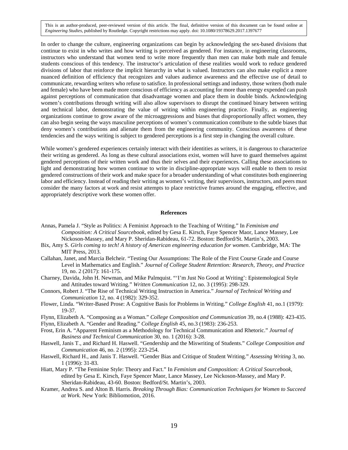In order to change the culture, engineering organizations can begin by acknowledging the sex-based divisions that continue to exist in who writes and how writing is perceived as gendered. For instance, in engineering classrooms, instructors who understand that women tend to write more frequently than men can make both male and female students conscious of this tendency. The instructor's articulation of these realities would work to reduce gendered divisions of labor that reinforce the implicit hierarchy in what is valued. Instructors can also make explicit a more nuanced definition of efficiency that recognizes and values audience awareness and the effective use of detail to communicate, rewarding writers who refuse to satisfice. In professional settings and industry, those writers (both male and female) who have been made more conscious of efficiency as accounting for more than energy expended can push against perceptions of communication that disadvantage women and place them in double binds. Acknowledging women's contributions through writing will also allow supervisors to disrupt the continued binary between writing and technical labor, demonstrating the value of writing within engineering practice. Finally, as engineering organizations continue to grow aware of the microaggressions and biases that disproportionally affect women, they can also begin seeing the ways masculine perceptions of women's communication contribute to the subtle biases that deny women's contributions and alienate them from the engineering community. Conscious awareness of these tendencies and the ways writing is subject to gendered perceptions is a first step in changing the overall culture.

While women's gendered experiences certainly interact with their identities as writers, it is dangerous to characterize their writing as gendered. As long as these cultural associations exist, women will have to guard themselves against gendered perceptions of their written work and thus their selves and their experiences. Calling these associations to light and demonstrating how women continue to write in discipline-appropriate ways will enable to them to resist gendered constructions of their work and make space for a broader understanding of what constitutes both engineering labor and efficiency. Instead of reading their writing as women's writing, their supervisors, instructors, and peers must consider the many factors at work and resist attempts to place restrictive frames around the engaging, effective, and appropriately descriptive work these women offer.

#### **References**

- Annas, Pamela J. "Style as Politics: A Feminist Approach to the Teaching of Writing." In *Feminism and Composition: A Critical Sourcebook*, edited by Gesa E. Kirsch, Faye Spencer Maor, Lance Massey, Lee Nickoson-Massey, and Mary P. Sheridan-Rabideau, 61-72. Boston: Bedford/St. Martin's, 2003.
- Bix, Amy S. *Girls coming to tech! A history of American engineering education for women*. Cambridge, MA: The MIT Press, 2013.
- Callahan, Janet, and Marcia Belcheir. "Testing Our Assumptions: The Role of the First Course Grade and Course Level in Mathematics and English." *Journal of College Student Retention: Research, Theory, and Practice* 19, no. 2 (2017): 161-175.
- Charney, Davida, John H. Newman, and Mike Palmquist. "'I'm Just No Good at Writing': Epistemological Style and Attitudes toward Writing." *Written Communication* 12, no. 3 (1995): 298-329.
- Connors, Robert J. "The Rise of Technical Writing Instruction in America." *Journal of Technical Writing and Communication* 12, no. 4 (1982): 329-352.
- Flower, Linda. "Writer-Based Prose: A Cognitive Basis for Problems in Writing." *College English* 41, no.1 (1979): 19-37.
- Flynn, Elizabeth A. "Composing as a Woman." *College Composition and Communication* 39, no.4 (1988): 423-435.

Flynn, Elizabeth A. "Gender and Reading." *College English* 45, no.3 (1983): 236-253.

- Frost, Erin A. "Apparent Feminism as a Methodology for Technical Communication and Rhetoric." *Journal of Business and Technical Communication* 30, no. 1 (2016): 3-28.
- Haswell, Janis T., and Richard H. Haswell. "Gendership and the Miswriting of Students." *College Composition and Communication* 46, no. 2 (1995): 223-254.
- Haswell, Richard H., and Janis T. Haswell. "Gender Bias and Critique of Student Writing." *Assessing Writing* 3, no. 1 (1996): 31-83.
- Hiatt, Mary P. "The Feminine Style: Theory and Fact." In *Feminism and Composition: A Critical Sourcebook*, edited by Gesa E. Kirsch, Faye Spencer Maor, Lance Massey, Lee Nickoson-Massey, and Mary P. Sheridan-Rabideau, 43-60. Boston: Bedford/St. Martin's, 2003.
- Kramer, Andrea S. and Alton B. Harris. *Breaking Through Bias: Communication Techniques for Women to Succeed at Work.* New York: Bibliomotion, 2016.